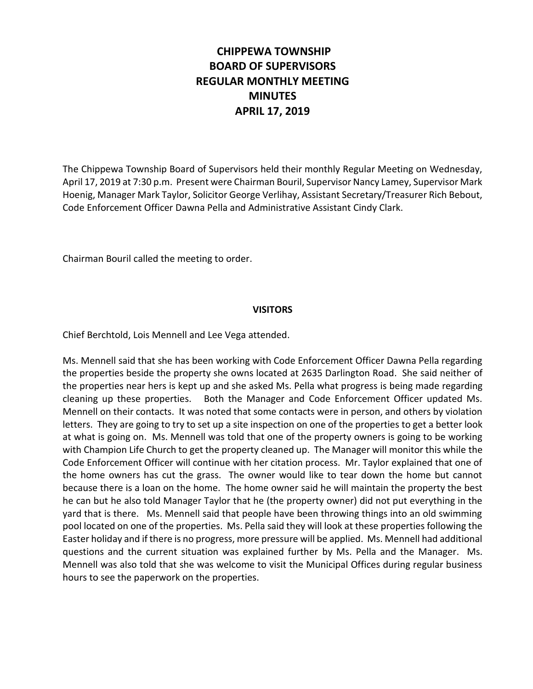# **CHIPPEWA TOWNSHIP BOARD OF SUPERVISORS REGULAR MONTHLY MEETING MINUTES APRIL 17, 2019**

The Chippewa Township Board of Supervisors held their monthly Regular Meeting on Wednesday, April 17, 2019 at 7:30 p.m. Present were Chairman Bouril, Supervisor Nancy Lamey, Supervisor Mark Hoenig, Manager Mark Taylor, Solicitor George Verlihay, Assistant Secretary/Treasurer Rich Bebout, Code Enforcement Officer Dawna Pella and Administrative Assistant Cindy Clark.

Chairman Bouril called the meeting to order.

### **VISITORS**

Chief Berchtold, Lois Mennell and Lee Vega attended.

Ms. Mennell said that she has been working with Code Enforcement Officer Dawna Pella regarding the properties beside the property she owns located at 2635 Darlington Road. She said neither of the properties near hers is kept up and she asked Ms. Pella what progress is being made regarding cleaning up these properties. Both the Manager and Code Enforcement Officer updated Ms. Mennell on their contacts. It was noted that some contacts were in person, and others by violation letters. They are going to try to set up a site inspection on one of the properties to get a better look at what is going on. Ms. Mennell was told that one of the property owners is going to be working with Champion Life Church to get the property cleaned up. The Manager will monitor this while the Code Enforcement Officer will continue with her citation process. Mr. Taylor explained that one of the home owners has cut the grass. The owner would like to tear down the home but cannot because there is a loan on the home. The home owner said he will maintain the property the best he can but he also told Manager Taylor that he (the property owner) did not put everything in the yard that is there. Ms. Mennell said that people have been throwing things into an old swimming pool located on one of the properties. Ms. Pella said they will look at these properties following the Easter holiday and if there is no progress, more pressure will be applied. Ms. Mennell had additional questions and the current situation was explained further by Ms. Pella and the Manager. Ms. Mennell was also told that she was welcome to visit the Municipal Offices during regular business hours to see the paperwork on the properties.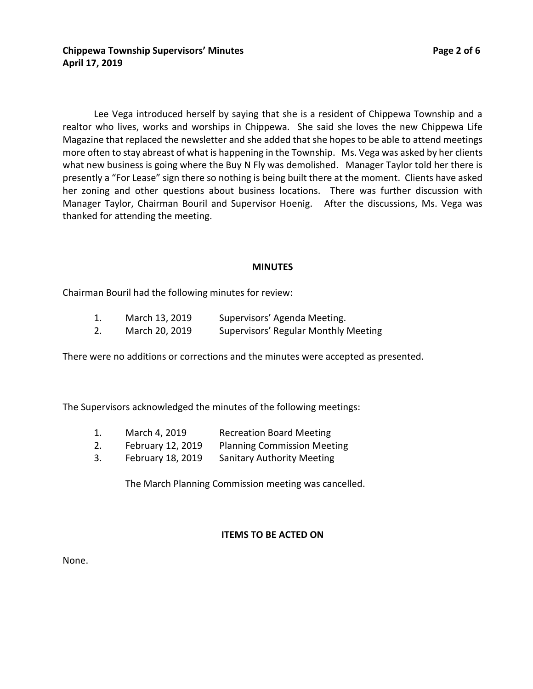Lee Vega introduced herself by saying that she is a resident of Chippewa Township and a realtor who lives, works and worships in Chippewa. She said she loves the new Chippewa Life Magazine that replaced the newsletter and she added that she hopes to be able to attend meetings more often to stay abreast of what is happening in the Township. Ms. Vega was asked by her clients

what new business is going where the Buy N Fly was demolished. Manager Taylor told her there is presently a "For Lease" sign there so nothing is being built there at the moment. Clients have asked her zoning and other questions about business locations. There was further discussion with Manager Taylor, Chairman Bouril and Supervisor Hoenig. After the discussions, Ms. Vega was thanked for attending the meeting.

### **MINUTES**

Chairman Bouril had the following minutes for review:

| March 13, 2019 | Supervisors' Agenda Meeting.         |
|----------------|--------------------------------------|
| March 20, 2019 | Supervisors' Regular Monthly Meeting |

There were no additions or corrections and the minutes were accepted as presented.

The Supervisors acknowledged the minutes of the following meetings:

- 1. March 4, 2019 Recreation Board Meeting
- 2. February 12, 2019 Planning Commission Meeting
- 3. February 18, 2019 Sanitary Authority Meeting

The March Planning Commission meeting was cancelled.

### **ITEMS TO BE ACTED ON**

None.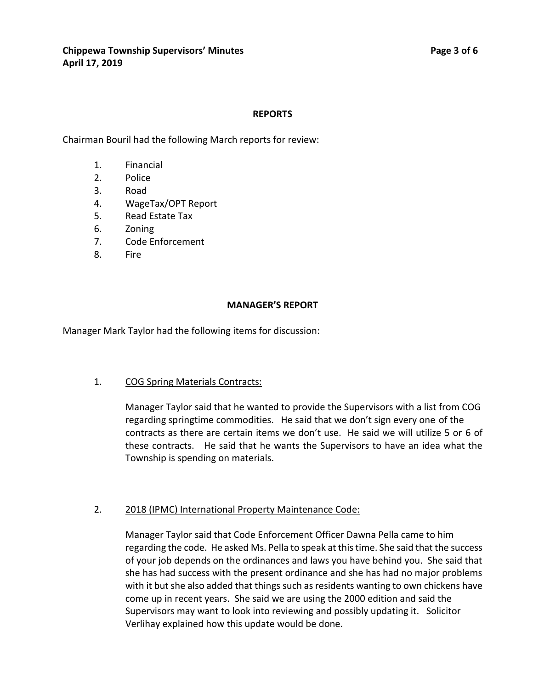### **REPORTS**

Chairman Bouril had the following March reports for review:

- 1. Financial
- 2. Police
- 3. Road
- 4. WageTax/OPT Report
- 5. Read Estate Tax
- 6. Zoning
- 7. Code Enforcement
- 8. Fire

### **MANAGER'S REPORT**

Manager Mark Taylor had the following items for discussion:

### 1. COG Spring Materials Contracts:

Manager Taylor said that he wanted to provide the Supervisors with a list from COG regarding springtime commodities. He said that we don't sign every one of the contracts as there are certain items we don't use. He said we will utilize 5 or 6 of these contracts. He said that he wants the Supervisors to have an idea what the Township is spending on materials.

# 2. 2018 (IPMC) International Property Maintenance Code:

Manager Taylor said that Code Enforcement Officer Dawna Pella came to him regarding the code. He asked Ms. Pella to speak at this time. She said that the success of your job depends on the ordinances and laws you have behind you. She said that she has had success with the present ordinance and she has had no major problems with it but she also added that things such as residents wanting to own chickens have come up in recent years. She said we are using the 2000 edition and said the Supervisors may want to look into reviewing and possibly updating it. Solicitor Verlihay explained how this update would be done.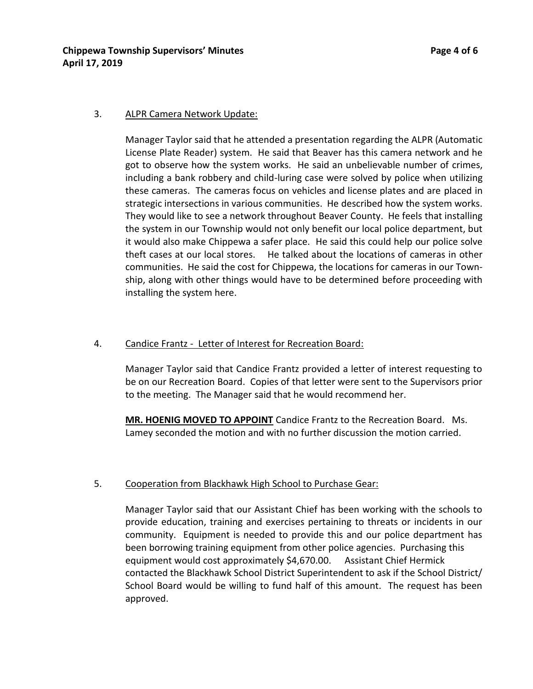# 3. ALPR Camera Network Update:

Manager Taylor said that he attended a presentation regarding the ALPR (Automatic License Plate Reader) system. He said that Beaver has this camera network and he got to observe how the system works. He said an unbelievable number of crimes, including a bank robbery and child-luring case were solved by police when utilizing these cameras. The cameras focus on vehicles and license plates and are placed in strategic intersections in various communities. He described how the system works. They would like to see a network throughout Beaver County. He feels that installing the system in our Township would not only benefit our local police department, but it would also make Chippewa a safer place. He said this could help our police solve theft cases at our local stores. He talked about the locations of cameras in other communities. He said the cost for Chippewa, the locations for cameras in our Township, along with other things would have to be determined before proceeding with installing the system here.

# 4. Candice Frantz - Letter of Interest for Recreation Board:

Manager Taylor said that Candice Frantz provided a letter of interest requesting to be on our Recreation Board. Copies of that letter were sent to the Supervisors prior to the meeting. The Manager said that he would recommend her.

**MR. HOENIG MOVED TO APPOINT** Candice Frantz to the Recreation Board. Ms. Lamey seconded the motion and with no further discussion the motion carried.

# 5. Cooperation from Blackhawk High School to Purchase Gear:

Manager Taylor said that our Assistant Chief has been working with the schools to provide education, training and exercises pertaining to threats or incidents in our community. Equipment is needed to provide this and our police department has been borrowing training equipment from other police agencies. Purchasing this equipment would cost approximately \$4,670.00. Assistant Chief Hermick contacted the Blackhawk School District Superintendent to ask if the School District/ School Board would be willing to fund half of this amount. The request has been approved.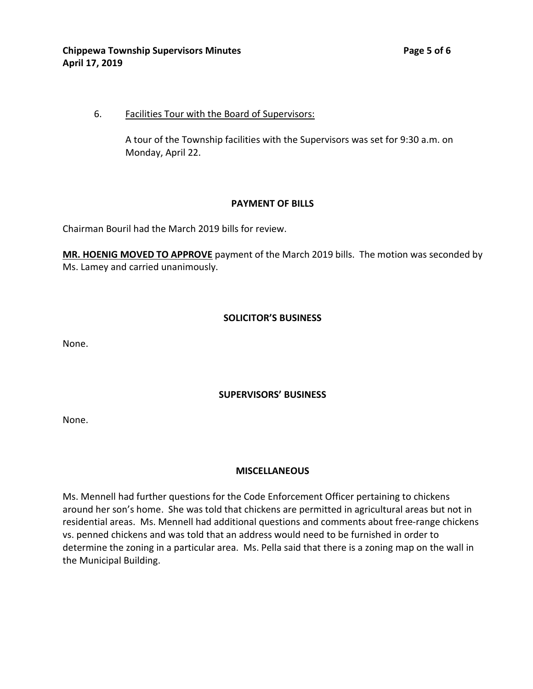### 6. Facilities Tour with the Board of Supervisors:

A tour of the Township facilities with the Supervisors was set for 9:30 a.m. on Monday, April 22.

### **PAYMENT OF BILLS**

Chairman Bouril had the March 2019 bills for review.

**MR. HOENIG MOVED TO APPROVE** payment of the March 2019 bills. The motion was seconded by Ms. Lamey and carried unanimously.

### **SOLICITOR'S BUSINESS**

None.

# **SUPERVISORS' BUSINESS**

None.

# **MISCELLANEOUS**

Ms. Mennell had further questions for the Code Enforcement Officer pertaining to chickens around her son's home. She was told that chickens are permitted in agricultural areas but not in residential areas. Ms. Mennell had additional questions and comments about free-range chickens vs. penned chickens and was told that an address would need to be furnished in order to determine the zoning in a particular area. Ms. Pella said that there is a zoning map on the wall in the Municipal Building.